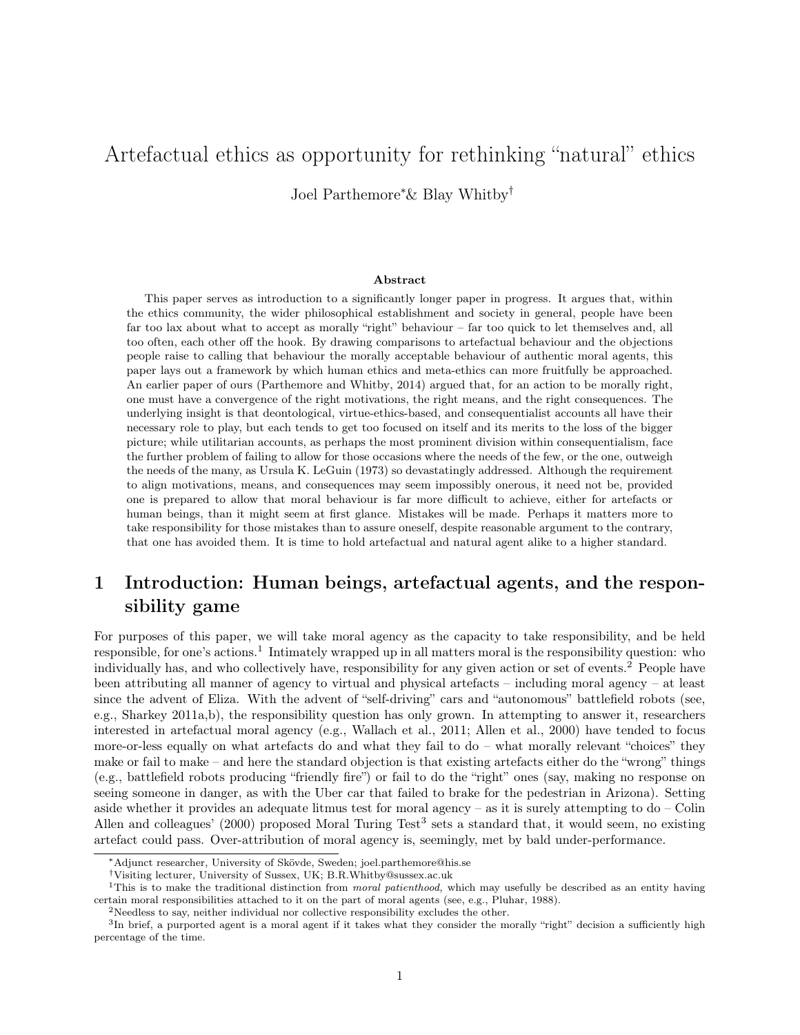# Artefactual ethics as opportunity for rethinking "natural" ethics

Joel Parthemore<sup>∗</sup>& Blay Whitby†

#### Abstract

This paper serves as introduction to a significantly longer paper in progress. It argues that, within the ethics community, the wider philosophical establishment and society in general, people have been far too lax about what to accept as morally "right" behaviour – far too quick to let themselves and, all too often, each other off the hook. By drawing comparisons to artefactual behaviour and the objections people raise to calling that behaviour the morally acceptable behaviour of authentic moral agents, this paper lays out a framework by which human ethics and meta-ethics can more fruitfully be approached. An earlier paper of ours (Parthemore and Whitby, 2014) argued that, for an action to be morally right, one must have a convergence of the right motivations, the right means, and the right consequences. The underlying insight is that deontological, virtue-ethics-based, and consequentialist accounts all have their necessary role to play, but each tends to get too focused on itself and its merits to the loss of the bigger picture; while utilitarian accounts, as perhaps the most prominent division within consequentialism, face the further problem of failing to allow for those occasions where the needs of the few, or the one, outweigh the needs of the many, as Ursula K. LeGuin (1973) so devastatingly addressed. Although the requirement to align motivations, means, and consequences may seem impossibly onerous, it need not be, provided one is prepared to allow that moral behaviour is far more difficult to achieve, either for artefacts or human beings, than it might seem at first glance. Mistakes will be made. Perhaps it matters more to take responsibility for those mistakes than to assure oneself, despite reasonable argument to the contrary, that one has avoided them. It is time to hold artefactual and natural agent alike to a higher standard.

## 1 Introduction: Human beings, artefactual agents, and the responsibility game

For purposes of this paper, we will take moral agency as the capacity to take responsibility, and be held responsible, for one's actions.<sup>1</sup> Intimately wrapped up in all matters moral is the responsibility question: who individually has, and who collectively have, responsibility for any given action or set of events.<sup>2</sup> People have been attributing all manner of agency to virtual and physical artefacts – including moral agency – at least since the advent of Eliza. With the advent of "self-driving" cars and "autonomous" battlefield robots (see, e.g., Sharkey 2011a,b), the responsibility question has only grown. In attempting to answer it, researchers interested in artefactual moral agency (e.g., Wallach et al., 2011; Allen et al., 2000) have tended to focus more-or-less equally on what artefacts do and what they fail to do – what morally relevant "choices" they make or fail to make – and here the standard objection is that existing artefacts either do the "wrong" things (e.g., battlefield robots producing "friendly fire") or fail to do the "right" ones (say, making no response on seeing someone in danger, as with the Uber car that failed to brake for the pedestrian in Arizona). Setting aside whether it provides an adequate litmus test for moral agency – as it is surely attempting to do – Colin Allen and colleagues' (2000) proposed Moral Turing Test<sup>3</sup> sets a standard that, it would seem, no existing artefact could pass. Over-attribution of moral agency is, seemingly, met by bald under-performance.

<sup>∗</sup>Adjunct researcher, University of Skövde, Sweden; joel.parthemore@his.se

<sup>†</sup>Visiting lecturer, University of Sussex, UK; B.R.Whitby@sussex.ac.uk

<sup>&</sup>lt;sup>1</sup>This is to make the traditional distinction from *moral patienthood*, which may usefully be described as an entity having certain moral responsibilities attached to it on the part of moral agents (see, e.g., Pluhar, 1988).

<sup>&</sup>lt;sup>2</sup>Needless to say, neither individual nor collective responsibility excludes the other.

<sup>&</sup>lt;sup>3</sup>In brief, a purported agent is a moral agent if it takes what they consider the morally "right" decision a sufficiently high percentage of the time.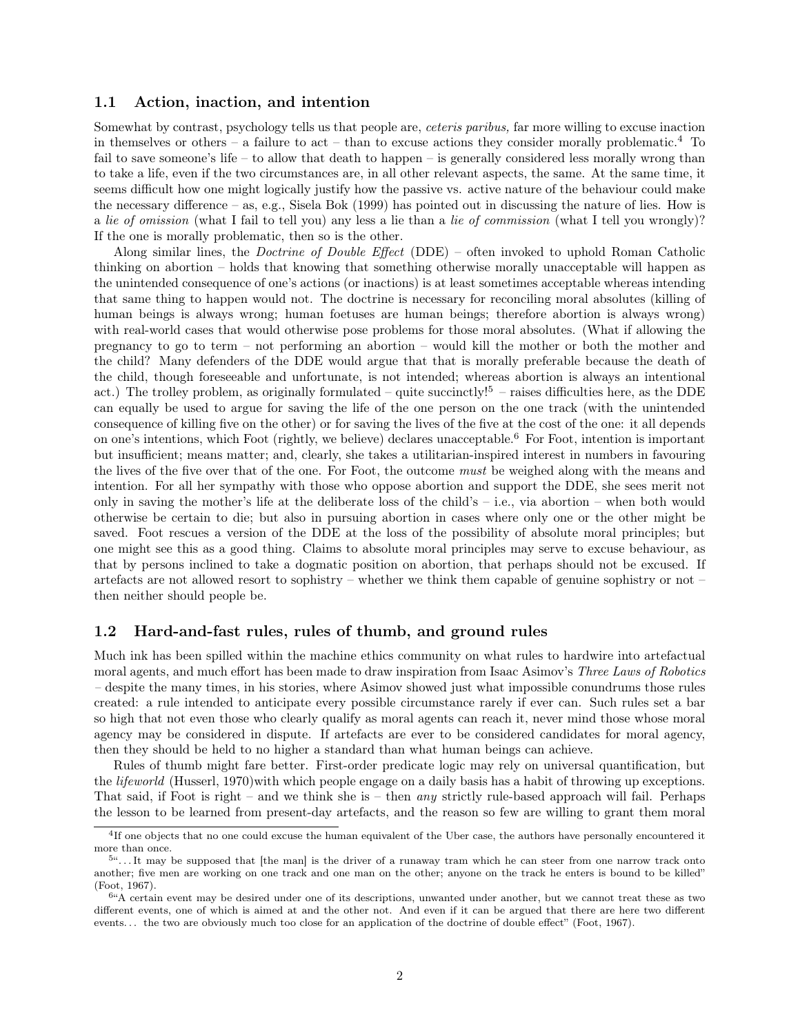#### 1.1 Action, inaction, and intention

Somewhat by contrast, psychology tells us that people are, ceteris paribus, far more willing to excuse inaction in themselves or others – a failure to act – than to excuse actions they consider morally problematic.<sup>4</sup> To fail to save someone's life – to allow that death to happen – is generally considered less morally wrong than to take a life, even if the two circumstances are, in all other relevant aspects, the same. At the same time, it seems difficult how one might logically justify how the passive vs. active nature of the behaviour could make the necessary difference – as, e.g., Sisela Bok (1999) has pointed out in discussing the nature of lies. How is a lie of omission (what I fail to tell you) any less a lie than a lie of commission (what I tell you wrongly)? If the one is morally problematic, then so is the other.

Along similar lines, the Doctrine of Double Effect (DDE) – often invoked to uphold Roman Catholic thinking on abortion – holds that knowing that something otherwise morally unacceptable will happen as the unintended consequence of one's actions (or inactions) is at least sometimes acceptable whereas intending that same thing to happen would not. The doctrine is necessary for reconciling moral absolutes (killing of human beings is always wrong; human foetuses are human beings; therefore abortion is always wrong) with real-world cases that would otherwise pose problems for those moral absolutes. (What if allowing the pregnancy to go to term – not performing an abortion – would kill the mother or both the mother and the child? Many defenders of the DDE would argue that that is morally preferable because the death of the child, though foreseeable and unfortunate, is not intended; whereas abortion is always an intentional act.) The trolley problem, as originally formulated – quite succinctly!<sup>5</sup> – raises difficulties here, as the DDE can equally be used to argue for saving the life of the one person on the one track (with the unintended consequence of killing five on the other) or for saving the lives of the five at the cost of the one: it all depends on one's intentions, which Foot (rightly, we believe) declares unacceptable.<sup>6</sup> For Foot, intention is important but insufficient; means matter; and, clearly, she takes a utilitarian-inspired interest in numbers in favouring the lives of the five over that of the one. For Foot, the outcome *must* be weighed along with the means and intention. For all her sympathy with those who oppose abortion and support the DDE, she sees merit not only in saving the mother's life at the deliberate loss of the child's – i.e., via abortion – when both would otherwise be certain to die; but also in pursuing abortion in cases where only one or the other might be saved. Foot rescues a version of the DDE at the loss of the possibility of absolute moral principles; but one might see this as a good thing. Claims to absolute moral principles may serve to excuse behaviour, as that by persons inclined to take a dogmatic position on abortion, that perhaps should not be excused. If artefacts are not allowed resort to sophistry – whether we think them capable of genuine sophistry or not – then neither should people be.

#### 1.2 Hard-and-fast rules, rules of thumb, and ground rules

Much ink has been spilled within the machine ethics community on what rules to hardwire into artefactual moral agents, and much effort has been made to draw inspiration from Isaac Asimov's Three Laws of Robotics – despite the many times, in his stories, where Asimov showed just what impossible conundrums those rules created: a rule intended to anticipate every possible circumstance rarely if ever can. Such rules set a bar so high that not even those who clearly qualify as moral agents can reach it, never mind those whose moral agency may be considered in dispute. If artefacts are ever to be considered candidates for moral agency, then they should be held to no higher a standard than what human beings can achieve.

Rules of thumb might fare better. First-order predicate logic may rely on universal quantification, but the *lifeworld* (Husserl, 1970) with which people engage on a daily basis has a habit of throwing up exceptions. That said, if Foot is right – and we think she is – then *any* strictly rule-based approach will fail. Perhaps the lesson to be learned from present-day artefacts, and the reason so few are willing to grant them moral

<sup>&</sup>lt;sup>4</sup>If one objects that no one could excuse the human equivalent of the Uber case, the authors have personally encountered it more than once.

<sup>&</sup>lt;sup>5</sup>"...It may be supposed that [the man] is the driver of a runaway tram which he can steer from one narrow track onto another; five men are working on one track and one man on the other; anyone on the track he enters is bound to be killed" (Foot, 1967).

<sup>&</sup>lt;sup>6"</sup>A certain event may be desired under one of its descriptions, unwanted under another, but we cannot treat these as two different events, one of which is aimed at and the other not. And even if it can be argued that there are here two different events. . . the two are obviously much too close for an application of the doctrine of double effect" (Foot, 1967).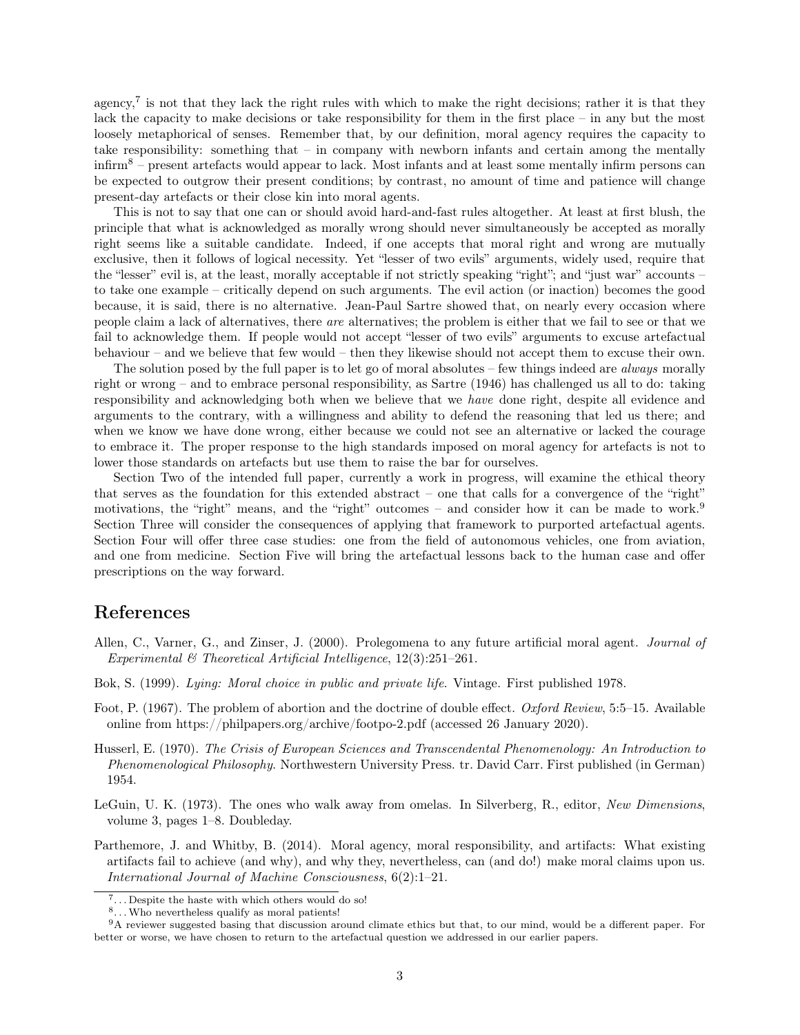agency,<sup>7</sup> is not that they lack the right rules with which to make the right decisions; rather it is that they lack the capacity to make decisions or take responsibility for them in the first place – in any but the most loosely metaphorical of senses. Remember that, by our definition, moral agency requires the capacity to take responsibility: something that – in company with newborn infants and certain among the mentally  $\infty$ <sup>8</sup> – present artefacts would appear to lack. Most infants and at least some mentally infirm persons can be expected to outgrow their present conditions; by contrast, no amount of time and patience will change present-day artefacts or their close kin into moral agents.

This is not to say that one can or should avoid hard-and-fast rules altogether. At least at first blush, the principle that what is acknowledged as morally wrong should never simultaneously be accepted as morally right seems like a suitable candidate. Indeed, if one accepts that moral right and wrong are mutually exclusive, then it follows of logical necessity. Yet "lesser of two evils" arguments, widely used, require that the "lesser" evil is, at the least, morally acceptable if not strictly speaking "right"; and "just war" accounts – to take one example – critically depend on such arguments. The evil action (or inaction) becomes the good because, it is said, there is no alternative. Jean-Paul Sartre showed that, on nearly every occasion where people claim a lack of alternatives, there are alternatives; the problem is either that we fail to see or that we fail to acknowledge them. If people would not accept "lesser of two evils" arguments to excuse artefactual behaviour – and we believe that few would – then they likewise should not accept them to excuse their own.

The solution posed by the full paper is to let go of moral absolutes – few things indeed are *always* morally right or wrong – and to embrace personal responsibility, as Sartre (1946) has challenged us all to do: taking responsibility and acknowledging both when we believe that we have done right, despite all evidence and arguments to the contrary, with a willingness and ability to defend the reasoning that led us there; and when we know we have done wrong, either because we could not see an alternative or lacked the courage to embrace it. The proper response to the high standards imposed on moral agency for artefacts is not to lower those standards on artefacts but use them to raise the bar for ourselves.

Section Two of the intended full paper, currently a work in progress, will examine the ethical theory that serves as the foundation for this extended abstract – one that calls for a convergence of the "right" motivations, the "right" means, and the "right" outcomes – and consider how it can be made to work.<sup>9</sup> Section Three will consider the consequences of applying that framework to purported artefactual agents. Section Four will offer three case studies: one from the field of autonomous vehicles, one from aviation, and one from medicine. Section Five will bring the artefactual lessons back to the human case and offer prescriptions on the way forward.

### References

- Allen, C., Varner, G., and Zinser, J. (2000). Prolegomena to any future artificial moral agent. Journal of Experimental  $\mathcal B$  Theoretical Artificial Intelligence, 12(3):251–261.
- Bok, S. (1999). Lying: Moral choice in public and private life. Vintage. First published 1978.
- Foot, P. (1967). The problem of abortion and the doctrine of double effect. Oxford Review, 5:5–15. Available online from https://philpapers.org/archive/footpo-2.pdf (accessed 26 January 2020).
- Husserl, E. (1970). The Crisis of European Sciences and Transcendental Phenomenology: An Introduction to Phenomenological Philosophy. Northwestern University Press. tr. David Carr. First published (in German) 1954.
- LeGuin, U. K. (1973). The ones who walk away from omelas. In Silverberg, R., editor, New Dimensions, volume 3, pages 1–8. Doubleday.
- Parthemore, J. and Whitby, B. (2014). Moral agency, moral responsibility, and artifacts: What existing artifacts fail to achieve (and why), and why they, nevertheless, can (and do!) make moral claims upon us. International Journal of Machine Consciousness, 6(2):1–21.

<sup>&</sup>lt;sup>7</sup>...Despite the haste with which others would do so!

<sup>8...</sup>Who nevertheless qualify as moral patients!

<sup>9</sup>A reviewer suggested basing that discussion around climate ethics but that, to our mind, would be a different paper. For better or worse, we have chosen to return to the artefactual question we addressed in our earlier papers.